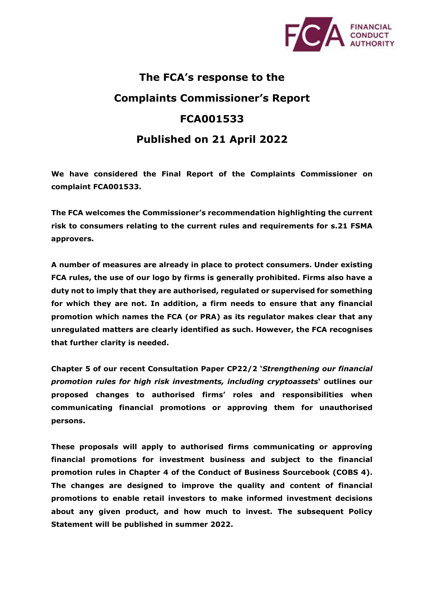

## **The FCA's response to the Complaints Commissioner's Report FCA001533 Published on 21 April 2022**

**We have considered the Final Report of the Complaints Commissioner on complaint FCA001533.** 

**The FCA welcomes the Commissioner's recommendation highlighting the current risk to consumers relating to the current rules and requirements for s.21 FSMA approvers.** 

**A number of measures are already in place to protect consumers. Under existing FCA rules, the use of our logo by firms is generally prohibited. Firms also have a duty not to imply that they are authorised, regulated or supervised for something for which they are not. In addition, a firm needs to ensure that any financial promotion which names the FCA (or PRA) as its regulator makes clear that any unregulated matters are clearly identified as such. However, the FCA recognises that further clarity is needed.**

**Chapter 5 of our recent Consultation Paper CP22/2 '***Strengthening our financial promotion rules for high risk investments, including cryptoassets***' outlines our proposed changes to authorised firms' roles and responsibilities when communicating financial promotions or approving them for unauthorised persons.** 

**These proposals will apply to authorised firms communicating or approving financial promotions for investment business and subject to the financial promotion rules in Chapter 4 of the Conduct of Business Sourcebook (COBS 4). The changes are designed to improve the quality and content of financial promotions to enable retail investors to make informed investment decisions about any given product, and how much to invest. The subsequent Policy Statement will be published in summer 2022.**